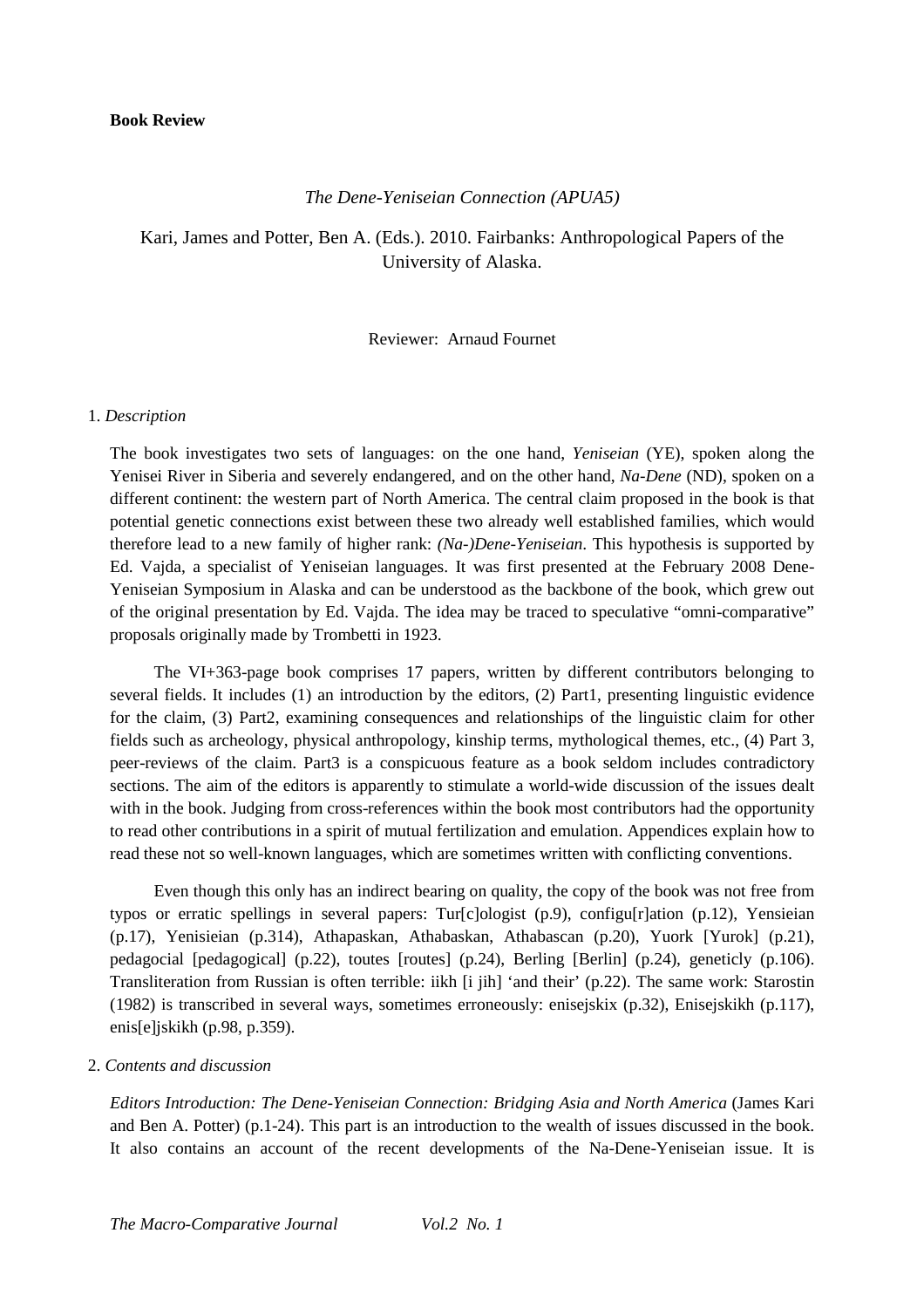#### **Book Review**

### *The Dene-Yeniseian Connection (APUA5)*

Kari, James and Potter, Ben A. (Eds.). 2010. Fairbanks: Anthropological Papers of the University of Alaska.

#### Reviewer: Arnaud Fournet

#### 1. *Description*

The book investigates two sets of languages: on the one hand, *Yeniseian* (YE), spoken along the Yenisei River in Siberia and severely endangered, and on the other hand, *Na-Dene* (ND), spoken on a different continent: the western part of North America. The central claim proposed in the book is that potential genetic connections exist between these two already well established families, which would therefore lead to a new family of higher rank: *(Na-)Dene-Yeniseian*. This hypothesis is supported by Ed. Vajda, a specialist of Yeniseian languages. It was first presented at the February 2008 Dene-Yeniseian Symposium in Alaska and can be understood as the backbone of the book, which grew out of the original presentation by Ed. Vajda. The idea may be traced to speculative "omni-comparative" proposals originally made by Trombetti in 1923.

The VI+363-page book comprises 17 papers, written by different contributors belonging to several fields. It includes (1) an introduction by the editors, (2) Part1, presenting linguistic evidence for the claim, (3) Part2, examining consequences and relationships of the linguistic claim for other fields such as archeology, physical anthropology, kinship terms, mythological themes, etc., (4) Part 3, peer-reviews of the claim. Part3 is a conspicuous feature as a book seldom includes contradictory sections. The aim of the editors is apparently to stimulate a world-wide discussion of the issues dealt with in the book. Judging from cross-references within the book most contributors had the opportunity to read other contributions in a spirit of mutual fertilization and emulation. Appendices explain how to read these not so well-known languages, which are sometimes written with conflicting conventions.

Even though this only has an indirect bearing on quality, the copy of the book was not free from typos or erratic spellings in several papers: Tur[c]ologist (p.9), configu[r]ation (p.12), Yensieian (p.17), Yenisieian (p.314), Athapaskan, Athabaskan, Athabascan (p.20), Yuork [Yurok] (p.21), pedagocial [pedagogical] (p.22), toutes [routes] (p.24), Berling [Berlin] (p.24), geneticly (p.106). Transliteration from Russian is often terrible: iikh [i jih] 'and their' (p.22). The same work: Starostin (1982) is transcribed in several ways, sometimes erroneously: enisejskix (p.32), Enisejskikh (p.117), enis[e]jskikh (p.98, p.359).

## 2. *Contents and discussion*

*Editors Introduction: The Dene-Yeniseian Connection: Bridging Asia and North America* (James Kari and Ben A. Potter) (p.1-24). This part is an introduction to the wealth of issues discussed in the book. It also contains an account of the recent developments of the Na-Dene-Yeniseian issue. It is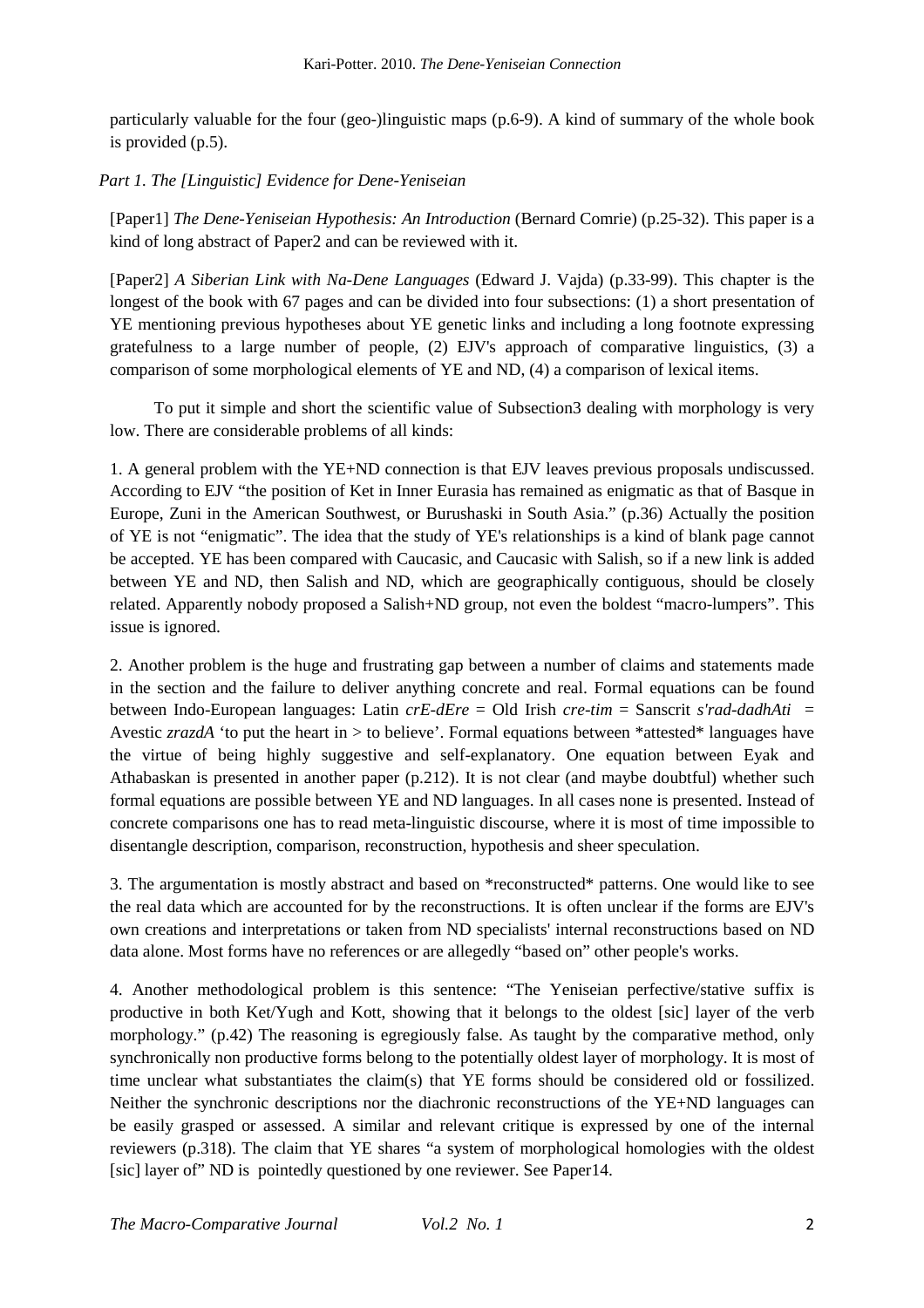particularly valuable for the four (geo-)linguistic maps (p.6-9). A kind of summary of the whole book is provided (p.5).

# *Part 1. The [Linguistic] Evidence for Dene-Yeniseian*

[Paper1] *The Dene-Yeniseian Hypothesis: An Introduction* (Bernard Comrie) (p.25-32). This paper is a kind of long abstract of Paper2 and can be reviewed with it.

[Paper2] *A Siberian Link with Na-Dene Languages* (Edward J. Vajda) (p.33-99). This chapter is the longest of the book with 67 pages and can be divided into four subsections: (1) a short presentation of YE mentioning previous hypotheses about YE genetic links and including a long footnote expressing gratefulness to a large number of people, (2) EJV's approach of comparative linguistics, (3) a comparison of some morphological elements of YE and ND, (4) a comparison of lexical items.

To put it simple and short the scientific value of Subsection3 dealing with morphology is very low. There are considerable problems of all kinds:

1. A general problem with the YE+ND connection is that EJV leaves previous proposals undiscussed. According to EJV "the position of Ket in Inner Eurasia has remained as enigmatic as that of Basque in Europe, Zuni in the American Southwest, or Burushaski in South Asia." (p.36) Actually the position of YE is not "enigmatic". The idea that the study of YE's relationships is a kind of blank page cannot be accepted. YE has been compared with Caucasic, and Caucasic with Salish, so if a new link is added between YE and ND, then Salish and ND, which are geographically contiguous, should be closely related. Apparently nobody proposed a Salish+ND group, not even the boldest "macro-lumpers". This issue is ignored.

2. Another problem is the huge and frustrating gap between a number of claims and statements made in the section and the failure to deliver anything concrete and real. Formal equations can be found between Indo-European languages: Latin *crE-dEre* = Old Irish *cre-tim* = Sanscrit *s'rad-dadhAti* = Avestic *zrazdA* 'to put the heart in > to believe'. Formal equations between \*attested\* languages have the virtue of being highly suggestive and self-explanatory. One equation between Eyak and Athabaskan is presented in another paper (p.212). It is not clear (and maybe doubtful) whether such formal equations are possible between YE and ND languages. In all cases none is presented. Instead of concrete comparisons one has to read meta-linguistic discourse, where it is most of time impossible to disentangle description, comparison, reconstruction, hypothesis and sheer speculation.

3. The argumentation is mostly abstract and based on \*reconstructed\* patterns. One would like to see the real data which are accounted for by the reconstructions. It is often unclear if the forms are EJV's own creations and interpretations or taken from ND specialists' internal reconstructions based on ND data alone. Most forms have no references or are allegedly "based on" other people's works.

4. Another methodological problem is this sentence: "The Yeniseian perfective/stative suffix is productive in both Ket/Yugh and Kott, showing that it belongs to the oldest [sic] layer of the verb morphology." (p.42) The reasoning is egregiously false. As taught by the comparative method, only synchronically non productive forms belong to the potentially oldest layer of morphology. It is most of time unclear what substantiates the claim(s) that YE forms should be considered old or fossilized. Neither the synchronic descriptions nor the diachronic reconstructions of the YE+ND languages can be easily grasped or assessed. A similar and relevant critique is expressed by one of the internal reviewers (p.318). The claim that YE shares "a system of morphological homologies with the oldest [sic] layer of" ND is pointedly questioned by one reviewer. See Paper14.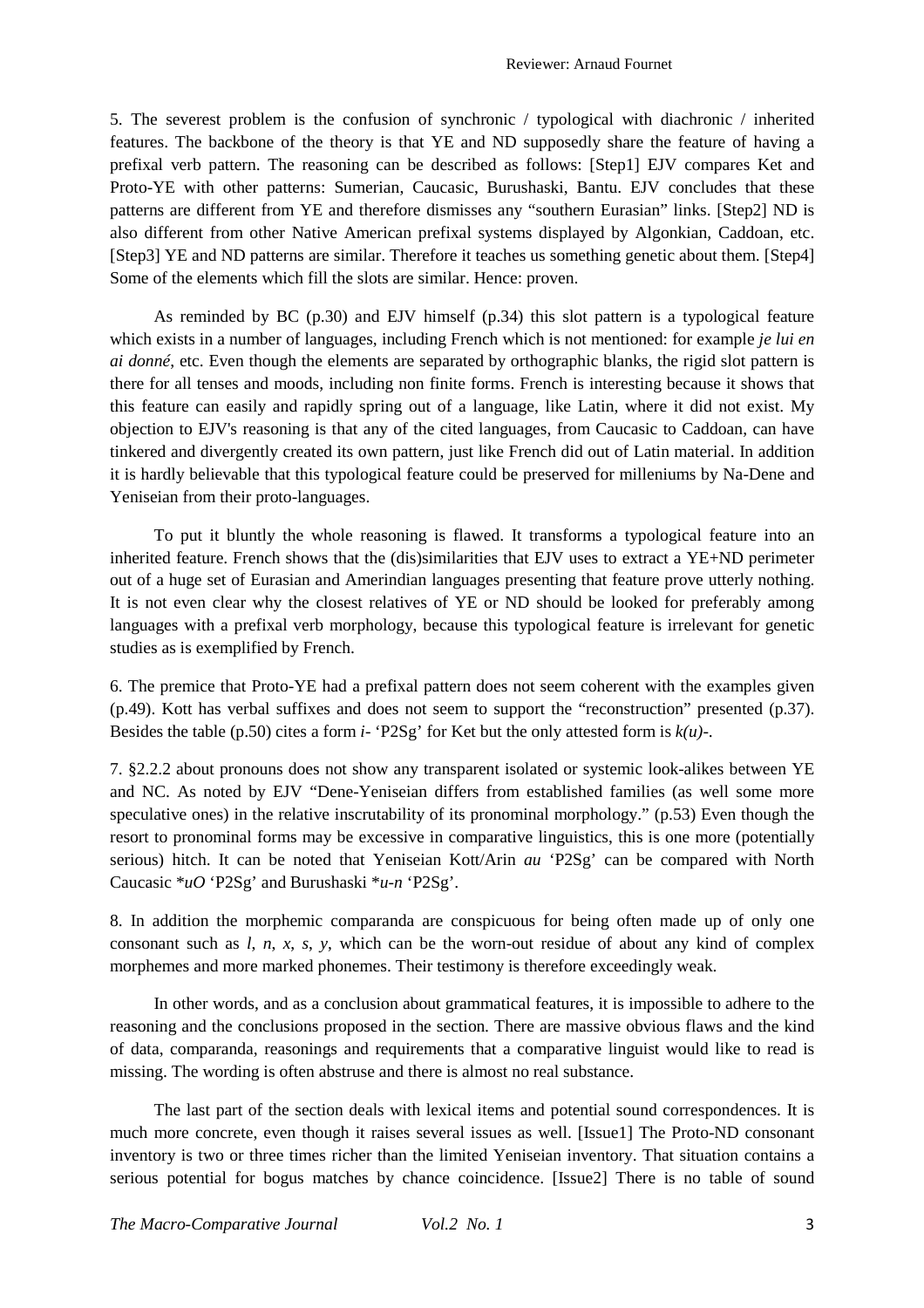5. The severest problem is the confusion of synchronic / typological with diachronic / inherited features. The backbone of the theory is that YE and ND supposedly share the feature of having a prefixal verb pattern. The reasoning can be described as follows: [Step1] EJV compares Ket and Proto-YE with other patterns: Sumerian, Caucasic, Burushaski, Bantu. EJV concludes that these patterns are different from YE and therefore dismisses any "southern Eurasian" links. [Step2] ND is also different from other Native American prefixal systems displayed by Algonkian, Caddoan, etc. [Step3] YE and ND patterns are similar. Therefore it teaches us something genetic about them. [Step4] Some of the elements which fill the slots are similar. Hence: proven.

As reminded by BC (p.30) and EJV himself (p.34) this slot pattern is a typological feature which exists in a number of languages, including French which is not mentioned: for example *je lui en ai donné*, etc. Even though the elements are separated by orthographic blanks, the rigid slot pattern is there for all tenses and moods, including non finite forms. French is interesting because it shows that this feature can easily and rapidly spring out of a language, like Latin, where it did not exist. My objection to EJV's reasoning is that any of the cited languages, from Caucasic to Caddoan, can have tinkered and divergently created its own pattern, just like French did out of Latin material. In addition it is hardly believable that this typological feature could be preserved for milleniums by Na-Dene and Yeniseian from their proto-languages.

To put it bluntly the whole reasoning is flawed. It transforms a typological feature into an inherited feature. French shows that the (dis)similarities that EJV uses to extract a YE+ND perimeter out of a huge set of Eurasian and Amerindian languages presenting that feature prove utterly nothing. It is not even clear why the closest relatives of YE or ND should be looked for preferably among languages with a prefixal verb morphology, because this typological feature is irrelevant for genetic studies as is exemplified by French.

6. The premice that Proto-YE had a prefixal pattern does not seem coherent with the examples given (p.49). Kott has verbal suffixes and does not seem to support the "reconstruction" presented (p.37). Besides the table (p.50) cites a form *i*- 'P2Sg' for Ket but the only attested form is  $k(u)$ -.

7. §2.2.2 about pronouns does not show any transparent isolated or systemic look-alikes between YE and NC. As noted by EJV "Dene-Yeniseian differs from established families (as well some more speculative ones) in the relative inscrutability of its pronominal morphology." (p.53) Even though the resort to pronominal forms may be excessive in comparative linguistics, this is one more (potentially serious) hitch. It can be noted that Yeniseian Kott/Arin *au* 'P2Sg' can be compared with North Caucasic \**uO* 'P2Sg' and Burushaski \**u-n* 'P2Sg'.

8. In addition the morphemic comparanda are conspicuous for being often made up of only one consonant such as *l*, *n*, *x*, *s*, *y*, which can be the worn-out residue of about any kind of complex morphemes and more marked phonemes. Their testimony is therefore exceedingly weak.

In other words, and as a conclusion about grammatical features, it is impossible to adhere to the reasoning and the conclusions proposed in the section. There are massive obvious flaws and the kind of data, comparanda, reasonings and requirements that a comparative linguist would like to read is missing. The wording is often abstruse and there is almost no real substance.

The last part of the section deals with lexical items and potential sound correspondences. It is much more concrete, even though it raises several issues as well. [Issue1] The Proto-ND consonant inventory is two or three times richer than the limited Yeniseian inventory. That situation contains a serious potential for bogus matches by chance coincidence. [Issue2] There is no table of sound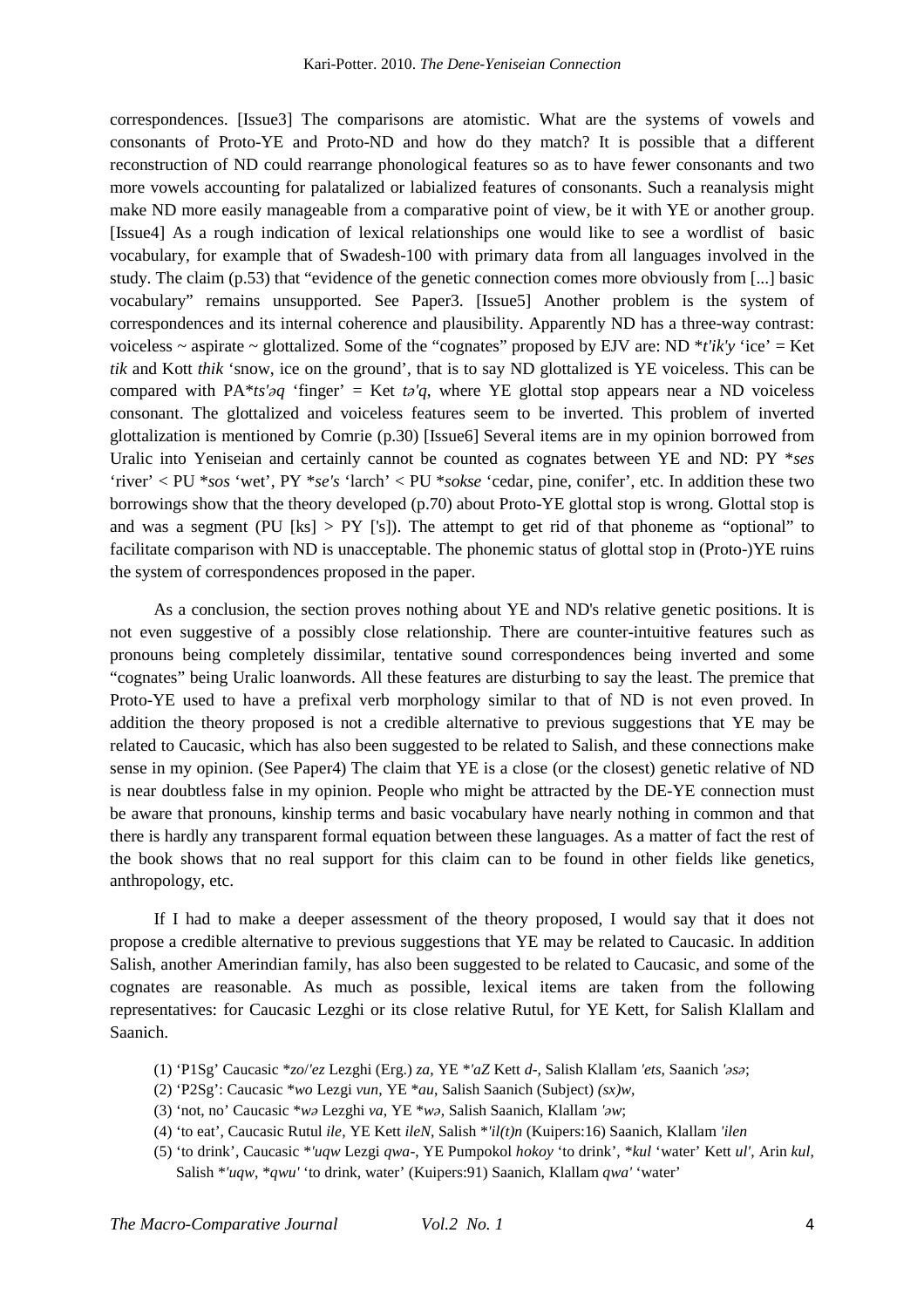correspondences. [Issue3] The comparisons are atomistic. What are the systems of vowels and consonants of Proto-YE and Proto-ND and how do they match? It is possible that a different reconstruction of ND could rearrange phonological features so as to have fewer consonants and two more vowels accounting for palatalized or labialized features of consonants. Such a reanalysis might make ND more easily manageable from a comparative point of view, be it with YE or another group. [Issue4] As a rough indication of lexical relationships one would like to see a wordlist of basic vocabulary, for example that of Swadesh-100 with primary data from all languages involved in the study. The claim (p.53) that "evidence of the genetic connection comes more obviously from [...] basic vocabulary" remains unsupported. See Paper3. [Issue5] Another problem is the system of correspondences and its internal coherence and plausibility. Apparently ND has a three-way contrast: voiceless  $\sim$  aspirate  $\sim$  glottalized. Some of the "cognates" proposed by EJV are: ND  $* t' i k' y$  'ice' = Ket *tik* and Kott *thik* 'snow, ice on the ground', that is to say ND glottalized is YE voiceless. This can be compared with PA<sup>\*</sup>*ts'* $\partial q$  'finger' = Ket  $t\partial q$ , where YE glottal stop appears near a ND voiceless consonant. The glottalized and voiceless features seem to be inverted. This problem of inverted glottalization is mentioned by Comrie (p.30) [Issue6] Several items are in my opinion borrowed from Uralic into Yeniseian and certainly cannot be counted as cognates between YE and ND: PY \**ses* 'river' < PU \**sos* 'wet', PY \**se's* 'larch' < PU \**sokse* 'cedar, pine, conifer', etc. In addition these two borrowings show that the theory developed (p.70) about Proto-YE glottal stop is wrong. Glottal stop is and was a segment (PU [ks]  $>$  PY ['s]). The attempt to get rid of that phoneme as "optional" to facilitate comparison with ND is unacceptable. The phonemic status of glottal stop in (Proto-)YE ruins the system of correspondences proposed in the paper.

As a conclusion, the section proves nothing about YE and ND's relative genetic positions. It is not even suggestive of a possibly close relationship. There are counter-intuitive features such as pronouns being completely dissimilar, tentative sound correspondences being inverted and some "cognates" being Uralic loanwords. All these features are disturbing to say the least. The premice that Proto-YE used to have a prefixal verb morphology similar to that of ND is not even proved. In addition the theory proposed is not a credible alternative to previous suggestions that YE may be related to Caucasic, which has also been suggested to be related to Salish, and these connections make sense in my opinion. (See Paper4) The claim that YE is a close (or the closest) genetic relative of ND is near doubtless false in my opinion. People who might be attracted by the DE-YE connection must be aware that pronouns, kinship terms and basic vocabulary have nearly nothing in common and that there is hardly any transparent formal equation between these languages. As a matter of fact the rest of the book shows that no real support for this claim can to be found in other fields like genetics, anthropology, etc.

If I had to make a deeper assessment of the theory proposed, I would say that it does not propose a credible alternative to previous suggestions that YE may be related to Caucasic. In addition Salish, another Amerindian family, has also been suggested to be related to Caucasic, and some of the cognates are reasonable. As much as possible, lexical items are taken from the following representatives: for Caucasic Lezghi or its close relative Rutul, for YE Kett, for Salish Klallam and Saanich.

- (1) 'P1Sg' Caucasic \**zo*/*'ez* Lezghi (Erg.) *za*, YE \**'aZ* Kett *d*-, Salish Klallam *'ets*, Saanich *'əsə*;
- (2) 'P2Sg': Caucasic \**wo* Lezgi *vun*, YE \**au*, Salish Saanich (Subject) *(sx)w*,
- (3) 'not, no' Caucasic \**wə* Lezghi *va*, YE \**wə*, Salish Saanich, Klallam *'əw*;
- (4) 'to eat', Caucasic Rutul *ile*, YE Kett *ileN*, Salish \**'il(t)n* (Kuipers:16) Saanich, Klallam *'ilen*
- (5) 'to drink', Caucasic \**'uqw* Lezgi *qwa*-, YE Pumpokol *hokoy* 'to drink', \**kul* 'water' Kett *ul'*, Arin *kul*, Salish \**'uqw*, \**qwu'* 'to drink, water' (Kuipers:91) Saanich, Klallam *qwa'* 'water'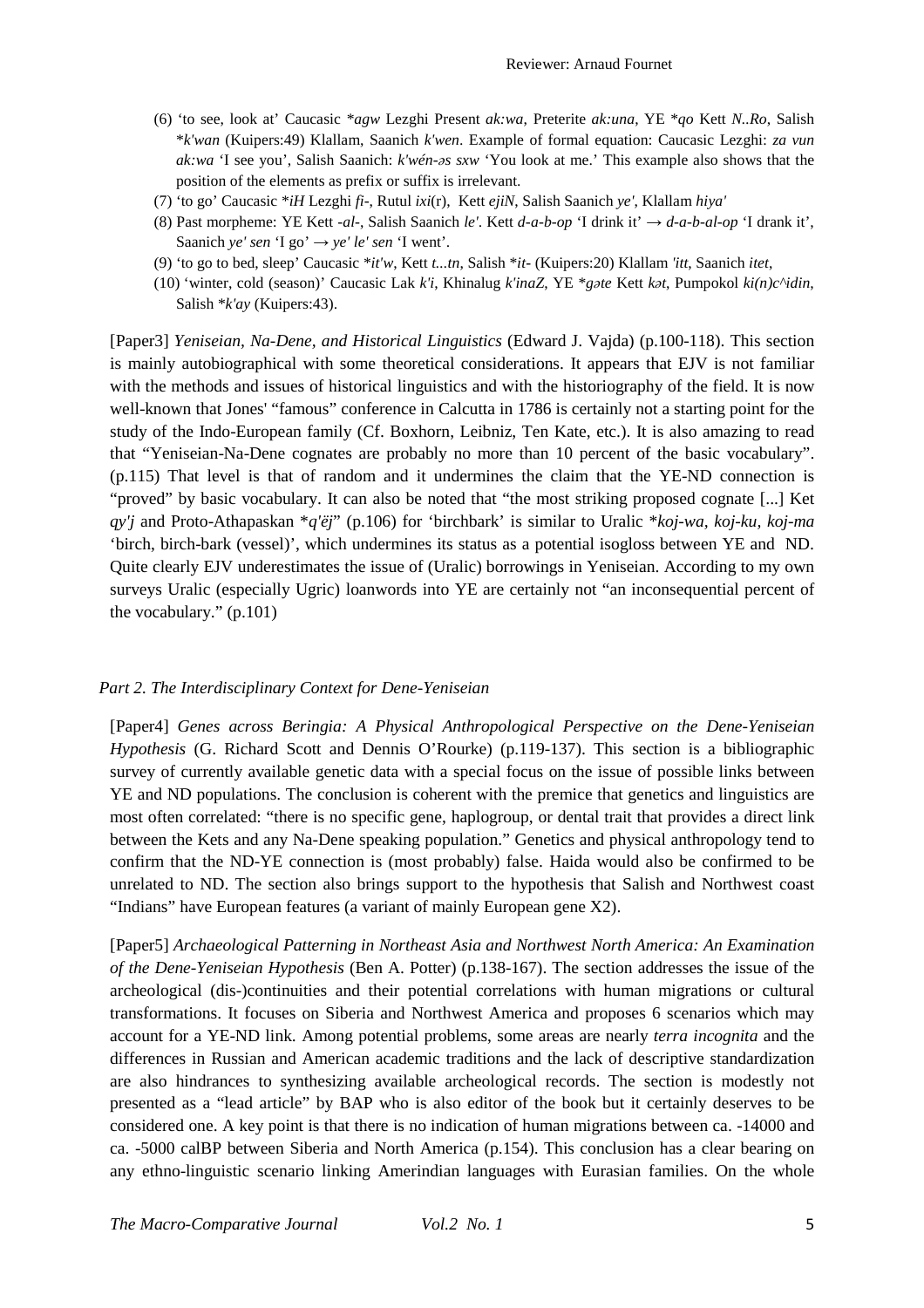- (6) 'to see, look at' Caucasic \**agw* Lezghi Present *ak:wa*, Preterite *ak:una*, YE \**qo* Kett *N..Ro*, Salish \**k'wan* (Kuipers:49) Klallam, Saanich *k'wen*. Example of formal equation: Caucasic Lezghi: *za vun ak:wa* 'I see you', Salish Saanich: *k'wén-əs sxw* 'You look at me.' This example also shows that the position of the elements as prefix or suffix is irrelevant.
- (7) 'to go' Caucasic \**iH* Lezghi *fi*-, Rutul *ixi*(r), Kett *ejiN*, Salish Saanich *ye'*, Klallam *hiya'*
- (8) Past morpheme: YE Kett -*al*-, Salish Saanich *le'*. Kett *d-a-b-op* 'I drink it' → *d-a-b-al-op* 'I drank it', Saanich *ye' sen* 'I go'  $\rightarrow$  *ye' le' sen* 'I went'.
- (9) 'to go to bed, sleep' Caucasic \**it'w*, Kett *t...tn*, Salish \**it* (Kuipers:20) Klallam *'itt*, Saanich *itet*,
- (10) 'winter, cold (season)' Caucasic Lak *k'i*, Khinalug *k'inaZ*, YE \**gəte* Kett *kət*, Pumpokol *ki(n)c^idin*, Salish \**k'ay* (Kuipers:43).

[Paper3] *Yeniseian, Na-Dene, and Historical Linguistics* (Edward J. Vajda) (p.100-118). This section is mainly autobiographical with some theoretical considerations. It appears that EJV is not familiar with the methods and issues of historical linguistics and with the historiography of the field. It is now well-known that Jones' "famous" conference in Calcutta in 1786 is certainly not a starting point for the study of the Indo-European family (Cf. Boxhorn, Leibniz, Ten Kate, etc.). It is also amazing to read that "Yeniseian-Na-Dene cognates are probably no more than 10 percent of the basic vocabulary". (p.115) That level is that of random and it undermines the claim that the YE-ND connection is "proved" by basic vocabulary. It can also be noted that "the most striking proposed cognate [...] Ket *qy'j* and Proto-Athapaskan \**q'ëj*" (p.106) for 'birchbark' is similar to Uralic \**koj-wa, koj-ku, koj-ma* 'birch, birch-bark (vessel)', which undermines its status as a potential isogloss between YE and ND. Quite clearly EJV underestimates the issue of (Uralic) borrowings in Yeniseian. According to my own surveys Uralic (especially Ugric) loanwords into YE are certainly not "an inconsequential percent of the vocabulary." (p.101)

#### *Part 2. The Interdisciplinary Context for Dene-Yeniseian*

[Paper4] *Genes across Beringia: A Physical Anthropological Perspective on the Dene-Yeniseian Hypothesis* (G. Richard Scott and Dennis O'Rourke) (p.119-137). This section is a bibliographic survey of currently available genetic data with a special focus on the issue of possible links between YE and ND populations. The conclusion is coherent with the premice that genetics and linguistics are most often correlated: "there is no specific gene, haplogroup, or dental trait that provides a direct link between the Kets and any Na-Dene speaking population." Genetics and physical anthropology tend to confirm that the ND-YE connection is (most probably) false. Haida would also be confirmed to be unrelated to ND. The section also brings support to the hypothesis that Salish and Northwest coast "Indians" have European features (a variant of mainly European gene X2).

[Paper5] *Archaeological Patterning in Northeast Asia and Northwest North America: An Examination of the Dene-Yeniseian Hypothesis* (Ben A. Potter) (p.138-167). The section addresses the issue of the archeological (dis-)continuities and their potential correlations with human migrations or cultural transformations. It focuses on Siberia and Northwest America and proposes 6 scenarios which may account for a YE-ND link. Among potential problems, some areas are nearly *terra incognita* and the differences in Russian and American academic traditions and the lack of descriptive standardization are also hindrances to synthesizing available archeological records. The section is modestly not presented as a "lead article" by BAP who is also editor of the book but it certainly deserves to be considered one. A key point is that there is no indication of human migrations between ca. -14000 and ca. -5000 calBP between Siberia and North America (p.154). This conclusion has a clear bearing on any ethno-linguistic scenario linking Amerindian languages with Eurasian families. On the whole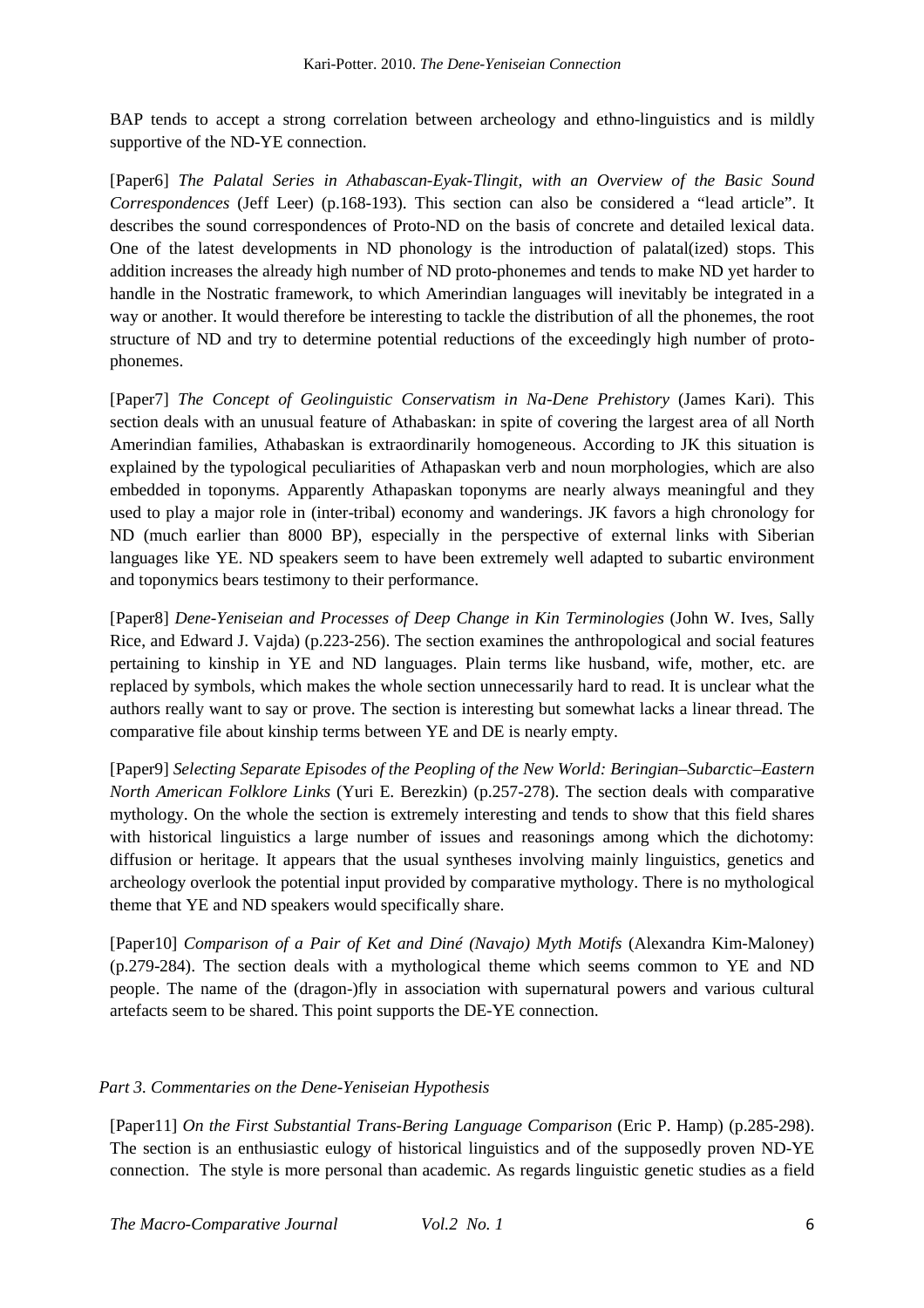BAP tends to accept a strong correlation between archeology and ethno-linguistics and is mildly supportive of the ND-YE connection.

[Paper6] *The Palatal Series in Athabascan-Eyak-Tlingit, with an Overview of the Basic Sound Correspondences* (Jeff Leer) (p.168-193). This section can also be considered a "lead article". It describes the sound correspondences of Proto-ND on the basis of concrete and detailed lexical data. One of the latest developments in ND phonology is the introduction of palatal(ized) stops. This addition increases the already high number of ND proto-phonemes and tends to make ND yet harder to handle in the Nostratic framework, to which Amerindian languages will inevitably be integrated in a way or another. It would therefore be interesting to tackle the distribution of all the phonemes, the root structure of ND and try to determine potential reductions of the exceedingly high number of protophonemes.

[Paper7] *The Concept of Geolinguistic Conservatism in Na-Dene Prehistory* (James Kari). This section deals with an unusual feature of Athabaskan: in spite of covering the largest area of all North Amerindian families, Athabaskan is extraordinarily homogeneous. According to JK this situation is explained by the typological peculiarities of Athapaskan verb and noun morphologies, which are also embedded in toponyms. Apparently Athapaskan toponyms are nearly always meaningful and they used to play a major role in (inter-tribal) economy and wanderings. JK favors a high chronology for ND (much earlier than 8000 BP), especially in the perspective of external links with Siberian languages like YE. ND speakers seem to have been extremely well adapted to subartic environment and toponymics bears testimony to their performance.

[Paper8] *Dene-Yeniseian and Processes of Deep Change in Kin Terminologies* (John W. Ives, Sally Rice, and Edward J. Vajda) (p.223-256). The section examines the anthropological and social features pertaining to kinship in YE and ND languages. Plain terms like husband, wife, mother, etc. are replaced by symbols, which makes the whole section unnecessarily hard to read. It is unclear what the authors really want to say or prove. The section is interesting but somewhat lacks a linear thread. The comparative file about kinship terms between YE and DE is nearly empty.

[Paper9] *Selecting Separate Episodes of the Peopling of the New World: Beringian–Subarctic–Eastern North American Folklore Links* (Yuri E. Berezkin) (p.257-278). The section deals with comparative mythology. On the whole the section is extremely interesting and tends to show that this field shares with historical linguistics a large number of issues and reasonings among which the dichotomy: diffusion or heritage. It appears that the usual syntheses involving mainly linguistics, genetics and archeology overlook the potential input provided by comparative mythology. There is no mythological theme that YE and ND speakers would specifically share.

[Paper10] *Comparison of a Pair of Ket and Diné (Navajo) Myth Motifs* (Alexandra Kim-Maloney) (p.279-284). The section deals with a mythological theme which seems common to YE and ND people. The name of the (dragon-)fly in association with supernatural powers and various cultural artefacts seem to be shared. This point supports the DE-YE connection.

# *Part 3. Commentaries on the Dene-Yeniseian Hypothesis*

[Paper11] *On the First Substantial Trans-Bering Language Comparison* (Eric P. Hamp) (p.285-298). The section is an enthusiastic eulogy of historical linguistics and of the supposedly proven ND-YE connection. The style is more personal than academic. As regards linguistic genetic studies as a field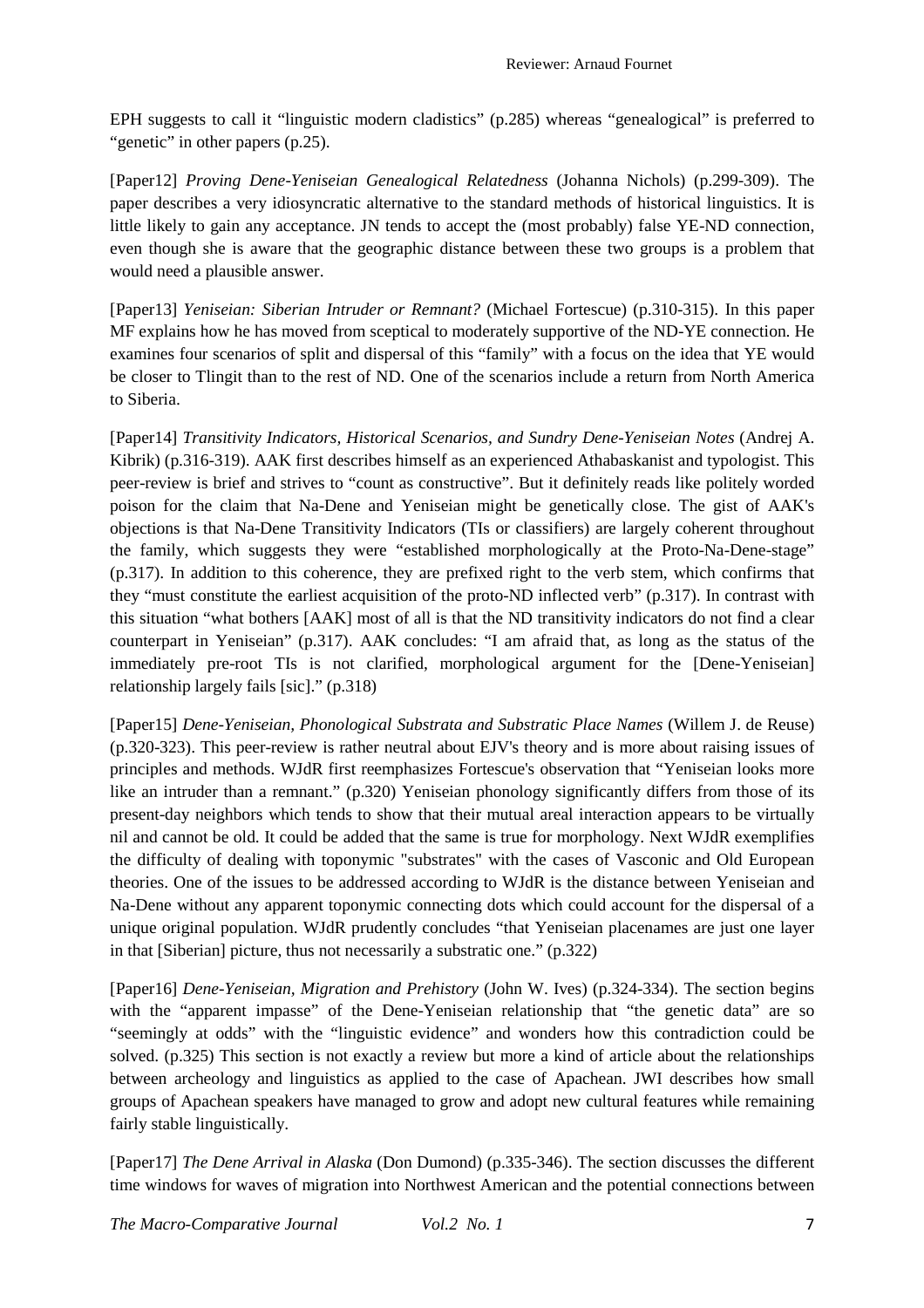EPH suggests to call it "linguistic modern cladistics" (p.285) whereas "genealogical" is preferred to "genetic" in other papers (p.25).

[Paper12] *Proving Dene-Yeniseian Genealogical Relatedness* (Johanna Nichols) (p.299-309). The paper describes a very idiosyncratic alternative to the standard methods of historical linguistics. It is little likely to gain any acceptance. JN tends to accept the (most probably) false YE-ND connection, even though she is aware that the geographic distance between these two groups is a problem that would need a plausible answer.

[Paper13] *Yeniseian: Siberian Intruder or Remnant?* (Michael Fortescue) (p.310-315). In this paper MF explains how he has moved from sceptical to moderately supportive of the ND-YE connection. He examines four scenarios of split and dispersal of this "family" with a focus on the idea that YE would be closer to Tlingit than to the rest of ND. One of the scenarios include a return from North America to Siberia.

[Paper14] *Transitivity Indicators, Historical Scenarios, and Sundry Dene-Yeniseian Notes* (Andrej A. Kibrik) (p.316-319). AAK first describes himself as an experienced Athabaskanist and typologist. This peer-review is brief and strives to "count as constructive". But it definitely reads like politely worded poison for the claim that Na-Dene and Yeniseian might be genetically close. The gist of AAK's objections is that Na-Dene Transitivity Indicators (TIs or classifiers) are largely coherent throughout the family, which suggests they were "established morphologically at the Proto-Na-Dene-stage" (p.317). In addition to this coherence, they are prefixed right to the verb stem, which confirms that they "must constitute the earliest acquisition of the proto-ND inflected verb" (p.317). In contrast with this situation "what bothers [AAK] most of all is that the ND transitivity indicators do not find a clear counterpart in Yeniseian" (p.317). AAK concludes: "I am afraid that, as long as the status of the immediately pre-root TIs is not clarified, morphological argument for the [Dene-Yeniseian] relationship largely fails [sic]." (p.318)

[Paper15] *Dene-Yeniseian, Phonological Substrata and Substratic Place Names* (Willem J. de Reuse) (p.320-323). This peer-review is rather neutral about EJV's theory and is more about raising issues of principles and methods. WJdR first reemphasizes Fortescue's observation that "Yeniseian looks more like an intruder than a remnant." (p.320) Yeniseian phonology significantly differs from those of its present-day neighbors which tends to show that their mutual areal interaction appears to be virtually nil and cannot be old. It could be added that the same is true for morphology. Next WJdR exemplifies the difficulty of dealing with toponymic "substrates" with the cases of Vasconic and Old European theories. One of the issues to be addressed according to WJdR is the distance between Yeniseian and Na-Dene without any apparent toponymic connecting dots which could account for the dispersal of a unique original population. WJdR prudently concludes "that Yeniseian placenames are just one layer in that [Siberian] picture, thus not necessarily a substratic one." (p.322)

[Paper16] *Dene-Yeniseian, Migration and Prehistory* (John W. Ives) (p.324-334). The section begins with the "apparent impasse" of the Dene-Yeniseian relationship that "the genetic data" are so "seemingly at odds" with the "linguistic evidence" and wonders how this contradiction could be solved. (p.325) This section is not exactly a review but more a kind of article about the relationships between archeology and linguistics as applied to the case of Apachean. JWI describes how small groups of Apachean speakers have managed to grow and adopt new cultural features while remaining fairly stable linguistically.

[Paper17] *The Dene Arrival in Alaska* (Don Dumond) (p.335-346). The section discusses the different time windows for waves of migration into Northwest American and the potential connections between